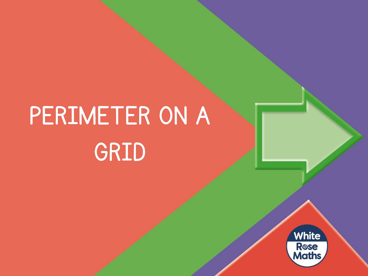# PERIMETER ON A GRID

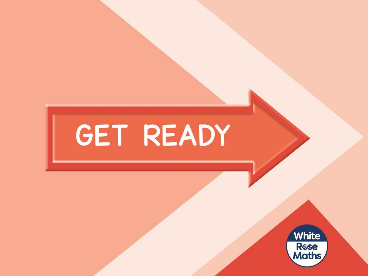# GET READY

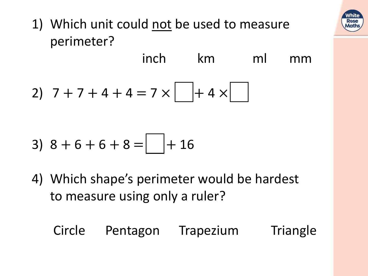

1) Which unit could not be used to measure perimeter?

inch km ml mm

2) 
$$
7+7+4+4=7 \times \boxed{+4 \times \boxed{}
$$

3) 
$$
8 + 6 + 6 + 8 = \boxed{+ 16}
$$

4) Which shape's perimeter would be hardest to measure using only a ruler?

#### Circle Pentagon Trapezium Triangle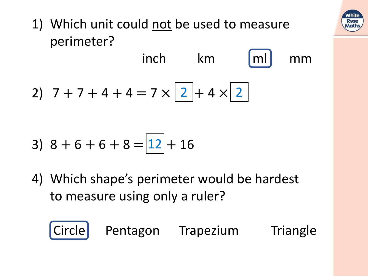

1) Which unit could not be used to measure perimeter?

2) 
$$
7 + 7 + 4 + 4 = 7 \times \boxed{2} + 4 \times \boxed{2}
$$

3) 
$$
8 + 6 + 6 + 8 = \boxed{12} + 16
$$

4) Which shape's perimeter would be hardest to measure using only a ruler?



Circle Pentagon Trapezium Triangle

inch km Imll mm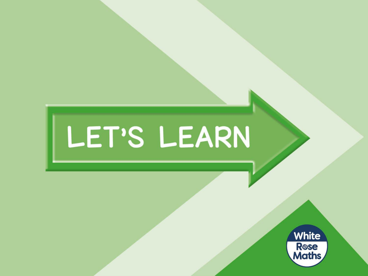# LET'S LEARN

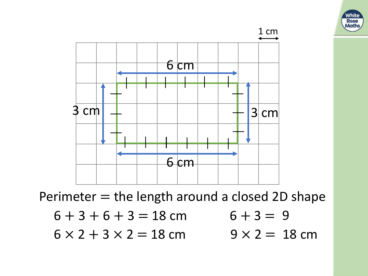

Perimeter  $=$  the length around a closed 2D shape

$$
6 + 3 + 6 + 3 = 18 \text{ cm} \qquad 6 + 3 = 9
$$

 $6 \times 2 + 3 \times 2 = 18$  cm

 $9 \times 2 = 18 \text{ cm}$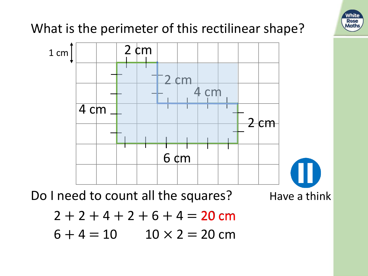

#### What is the perimeter of this rectilinear shape?



Do I need to count all the squares? Have a think



$$
2 + 2 + 4 + 2 + 6 + 4 = 20
$$
 cm

 $6 + 4 = 10$  $10 \times 2 = 20$  cm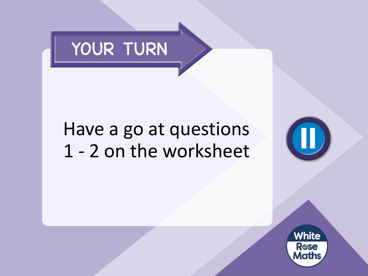

### Have a go at questions 1 - 2 on the worksheet

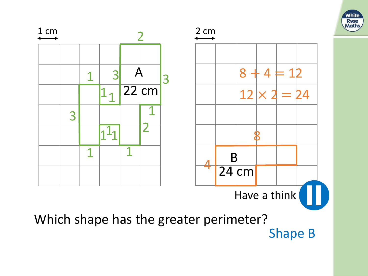

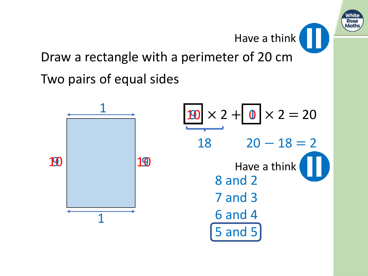

Have a think

Draw a rectangle with a perimeter of 20 cm

Two pairs of equal sides

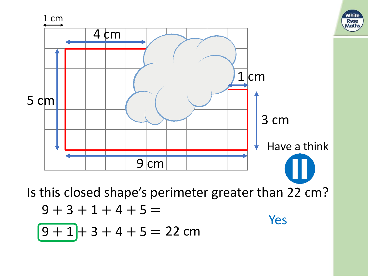